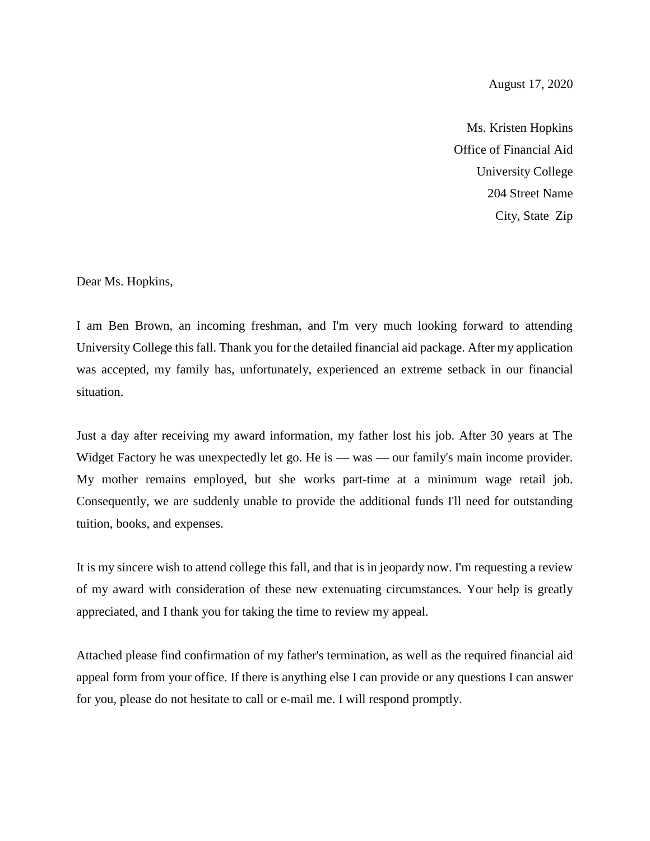## August 17, 2020

Ms. Kristen Hopkins Office of Financial Aid University College 204 Street Name City, State Zip

Dear Ms. Hopkins,

I am Ben Brown, an incoming freshman, and I'm very much looking forward to attending University College this fall. Thank you for the detailed financial aid package. After my application was accepted, my family has, unfortunately, experienced an extreme setback in our financial situation.

Just a day after receiving my award information, my father lost his job. After 30 years at The Widget Factory he was unexpectedly let go. He is — was — our family's main income provider. My mother remains employed, but she works part-time at a minimum wage retail job. Consequently, we are suddenly unable to provide the additional funds I'll need for outstanding tuition, books, and expenses.

It is my sincere wish to attend college this fall, and that is in jeopardy now. I'm requesting a review of my award with consideration of these new extenuating circumstances. Your help is greatly appreciated, and I thank you for taking the time to review my appeal.

Attached please find confirmation of my father's termination, as well as the required financial aid appeal form from your office. If there is anything else I can provide or any questions I can answer for you, please do not hesitate to call or e-mail me. I will respond promptly.